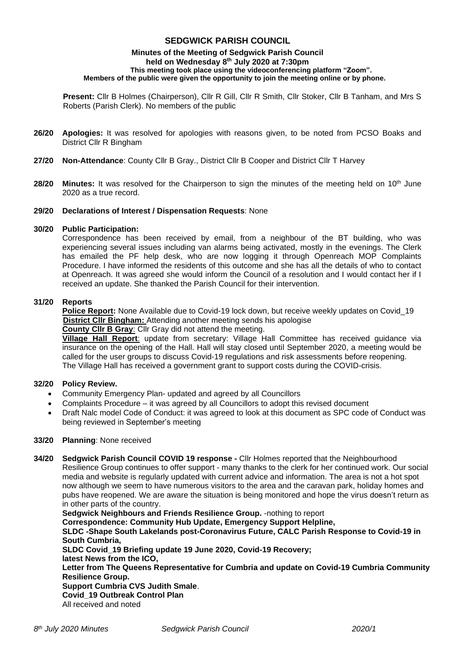# **SEDGWICK PARISH COUNCIL**

#### **Minutes of the Meeting of Sedgwick Parish Council held on Wednesday 8 th July 2020 at 7:30pm This meeting took place using the videoconferencing platform "Zoom". Members of the public were given the opportunity to join the meeting online or by phone.**

**Present:** Cllr B Holmes (Chairperson), Cllr R Gill, Cllr R Smith, Cllr Stoker, Cllr B Tanham, and Mrs S Roberts (Parish Clerk). No members of the public

- **26/20 Apologies:** It was resolved for apologies with reasons given, to be noted from PCSO Boaks and District Cllr R Bingham
- **27/20 Non-Attendance**: County Cllr B Gray., District Cllr B Cooper and District Cllr T Harvey
- **28/20 Minutes:** It was resolved for the Chairperson to sign the minutes of the meeting held on 10<sup>th</sup> June 2020 as a true record.

### **29/20 Declarations of Interest / Dispensation Requests**: None

### **30/20 Public Participation:**

Correspondence has been received by email, from a neighbour of the BT building, who was experiencing several issues including van alarms being activated, mostly in the evenings. The Clerk has emailed the PF help desk, who are now logging it through Openreach MOP Complaints Procedure. I have informed the residents of this outcome and she has all the details of who to contact at Openreach. It was agreed she would inform the Council of a resolution and I would contact her if I received an update. She thanked the Parish Council for their intervention.

### **31/20 Reports**

**Police Report:** None Available due to Covid-19 lock down, but receive weekly updates on Covid\_19 **District Cllr Bingham:** Attending another meeting sends his apologise **County Cllr B Gray**: Cllr Gray did not attend the meeting.

**Village Hall Report**: update from secretary: Village Hall Committee has received guidance via insurance on the opening of the Hall. Hall will stay closed until September 2020, a meeting would be called for the user groups to discuss Covid-19 regulations and risk assessments before reopening. The Village Hall has received a government grant to support costs during the COVID-crisis.

# **32/20 Policy Review.**

- Community Emergency Plan- updated and agreed by all Councillors
- Complaints Procedure it was agreed by all Councillors to adopt this revised document
- Draft Nalc model Code of Conduct: it was agreed to look at this document as SPC code of Conduct was being reviewed in September's meeting

### **33/20 Planning**: None received

**34/20 Sedgwick Parish Council COVID 19 response -** Cllr Holmes reported that the Neighbourhood Resilience Group continues to offer support - many thanks to the clerk for her continued work. Our social media and website is regularly updated with current advice and information. The area is not a hot spot now although we seem to have numerous visitors to the area and the caravan park, holiday homes and pubs have reopened. We are aware the situation is being monitored and hope the virus doesn't return as in other parts of the country. **Sedgwick Neighbours and Friends Resilience Group.** -nothing to report **Correspondence: Community Hub Update, Emergency Support Helpline, SLDC -Shape South Lakelands post-Coronavirus Future, CALC Parish Response to Covid-19 in South Cumbria, SLDC Covid\_19 Briefing update 19 June 2020, Covid-19 Recovery; latest News from the ICO, Letter from The Queens Representative for Cumbria and update on Covid-19 Cumbria Community Resilience Group. Support Cumbria CVS Judith Smale**.

**Covid\_19 Outbreak Control Plan**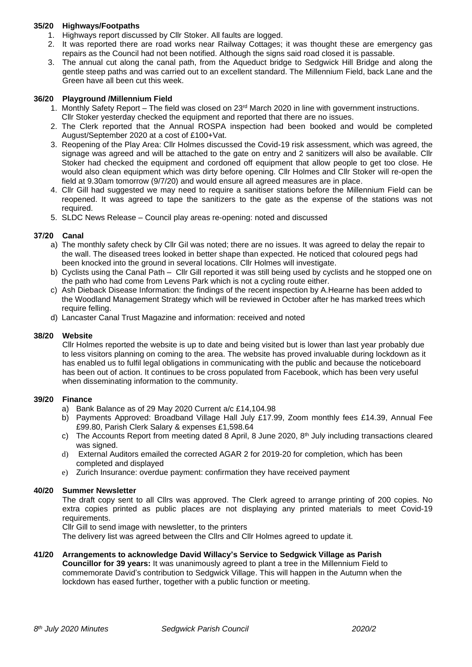# **35/20 Highways/Footpaths**

- 1. Highways report discussed by Cllr Stoker. All faults are logged.
- 2. It was reported there are road works near Railway Cottages; it was thought these are emergency gas repairs as the Council had not been notified. Although the signs said road closed it is passable.
- 3. The annual cut along the canal path, from the Aqueduct bridge to Sedgwick Hill Bridge and along the gentle steep paths and was carried out to an excellent standard. The Millennium Field, back Lane and the Green have all been cut this week.

# **36/20 Playground /Millennium Field**

- 1. Monthly Safety Report The field was closed on 23rd March 2020 in line with government instructions. Cllr Stoker yesterday checked the equipment and reported that there are no issues.
- 2. The Clerk reported that the Annual ROSPA inspection had been booked and would be completed August/September 2020 at a cost of £100+Vat.
- 3. Reopening of the Play Area: Cllr Holmes discussed the Covid-19 risk assessment, which was agreed, the signage was agreed and will be attached to the gate on entry and 2 sanitizers will also be available. Cllr Stoker had checked the equipment and cordoned off equipment that allow people to get too close. He would also clean equipment which was dirty before opening. Cllr Holmes and Cllr Stoker will re-open the field at 9.30am tomorrow (9/7/20) and would ensure all agreed measures are in place.
- 4. Cllr Gill had suggested we may need to require a sanitiser stations before the Millennium Field can be reopened. It was agreed to tape the sanitizers to the gate as the expense of the stations was not required.
- 5. SLDC News Release Council play areas re-opening: noted and discussed

### **37/20 Canal**

- a) The monthly safety check by Cllr Gil was noted; there are no issues. It was agreed to delay the repair to the wall. The diseased trees looked in better shape than expected. He noticed that coloured pegs had been knocked into the ground in several locations. Cllr Holmes will investigate.
- b) Cyclists using the Canal Path Cllr Gill reported it was still being used by cyclists and he stopped one on the path who had come from Levens Park which is not a cycling route either.
- c) Ash Dieback Disease Information: the findings of the recent inspection by A.Hearne has been added to the Woodland Management Strategy which will be reviewed in October after he has marked trees which require felling.
- d) Lancaster Canal Trust Magazine and information: received and noted

### **38/20 Website**

Cllr Holmes reported the website is up to date and being visited but is lower than last year probably due to less visitors planning on coming to the area. The website has proved invaluable during lockdown as it has enabled us to fulfil legal obligations in communicating with the public and because the noticeboard has been out of action. It continues to be cross populated from Facebook, which has been very useful when disseminating information to the community.

### **39/20 Finance**

- a) Bank Balance as of 29 May 2020 Current a/c £14,104.98
- b) Payments Approved: Broadband Village Hall July £17.99, Zoom monthly fees £14.39, Annual Fee £99.80, Parish Clerk Salary & expenses £1,598.64
- c) The Accounts Report from meeting dated 8 April, 8 June 2020, 8<sup>th</sup> July including transactions cleared was signed.
- d) External Auditors emailed the corrected AGAR 2 for 2019-20 for completion, which has been completed and displayed
- e) Zurich Insurance: overdue payment: confirmation they have received payment

### **40/20 Summer Newsletter**

The draft copy sent to all Cllrs was approved. The Clerk agreed to arrange printing of 200 copies. No extra copies printed as public places are not displaying any printed materials to meet Covid-19 requirements.

Cllr Gill to send image with newsletter, to the printers

The delivery list was agreed between the Cllrs and Cllr Holmes agreed to update it.

# **41/20 Arrangements to acknowledge David Willacy's Service to Sedgwick Village as Parish**

**Councillor for 39 years:** It was unanimously agreed to plant a tree in the Millennium Field to commemorate David's contribution to Sedgwick Village. This will happen in the Autumn when the lockdown has eased further, together with a public function or meeting.